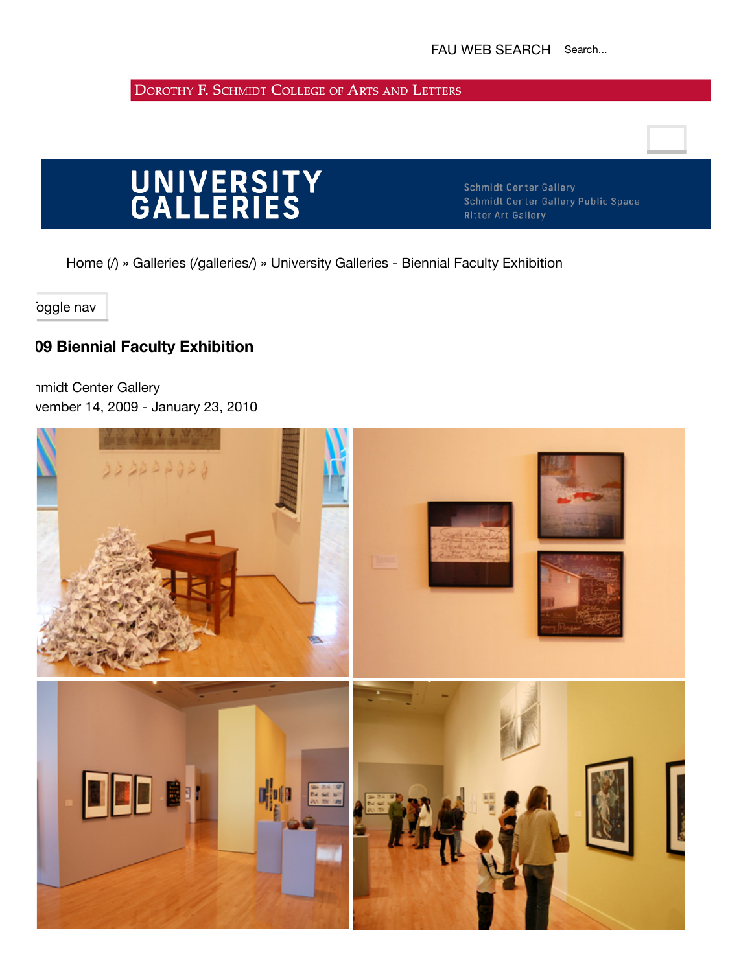DOROTHY F. SCHMIDT COLLEGE OF ARTS AND LETTERS



**Schmidt Center Gallery** Schmidt Center Gallery Public Space **Ritter Art Gallery** 

Home (/) » Galleries (/galleries/) » University Galleries - Biennial Faculty Exhibition

oggle nav

## **2009 Biennial Faculty Exhibition**

**Imidt Center Gallery** vember 14, 2009 - January 23, 2010